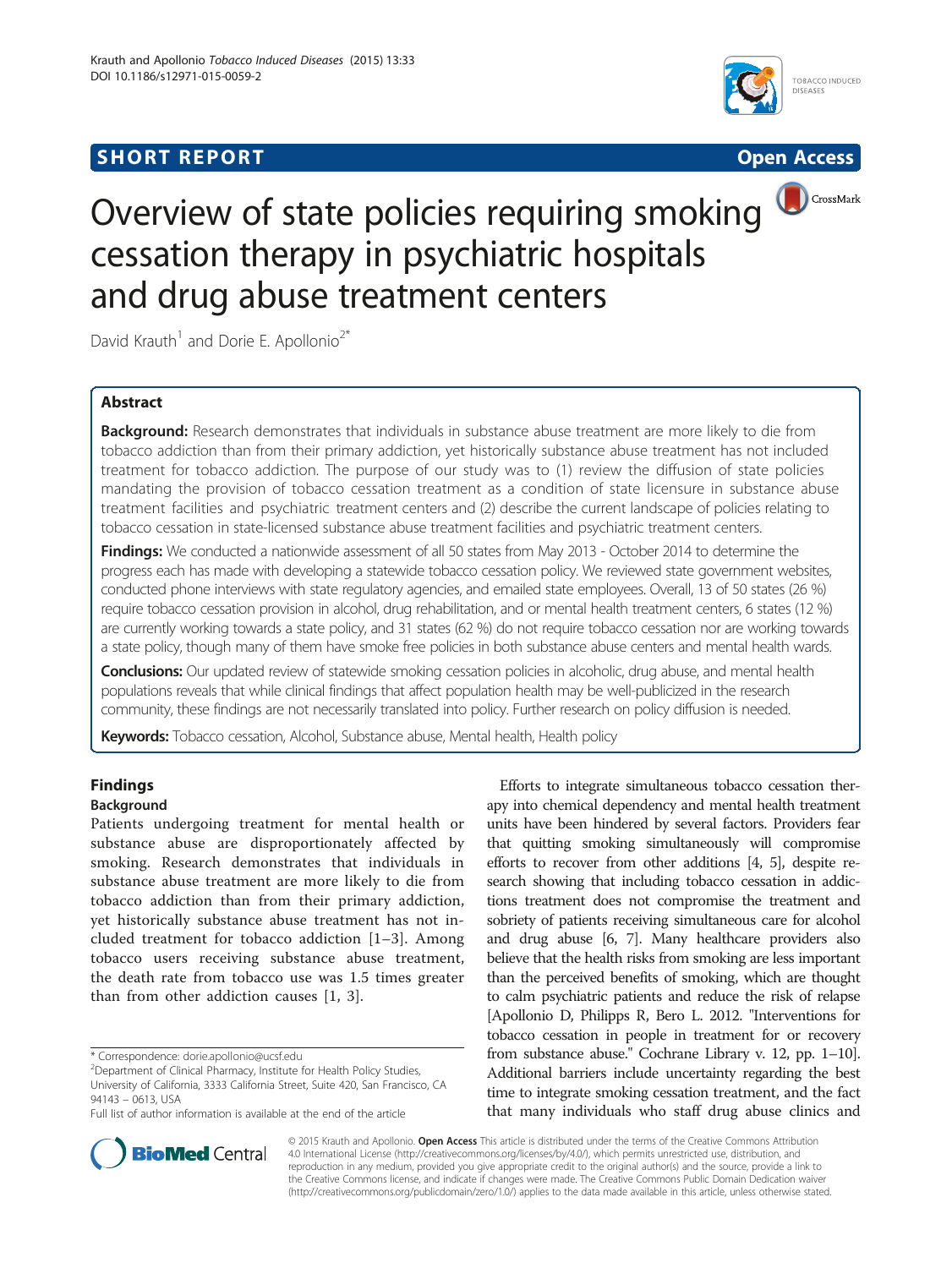# **SHORT REPORT SHORT CONSUMING THE CONSUMING THE CONSUMING THE CONSUMING THE CONSUMING THE CONSUMING THE CONSUMING THE CONSUMING THE CONSUMING THE CONSUMING THE CONSUMING THE CONSUMING THE CONSUMING THE CONSUMING THE CO**





# Overview of state policies requiring smoking cessation therapy in psychiatric hospitals and drug abuse treatment centers

David Krauth<sup>1</sup> and Dorie E. Apollonio<sup>2\*</sup>

# Abstract

Background: Research demonstrates that individuals in substance abuse treatment are more likely to die from tobacco addiction than from their primary addiction, yet historically substance abuse treatment has not included treatment for tobacco addiction. The purpose of our study was to (1) review the diffusion of state policies mandating the provision of tobacco cessation treatment as a condition of state licensure in substance abuse treatment facilities and psychiatric treatment centers and (2) describe the current landscape of policies relating to tobacco cessation in state-licensed substance abuse treatment facilities and psychiatric treatment centers.

Findings: We conducted a nationwide assessment of all 50 states from May 2013 - October 2014 to determine the progress each has made with developing a statewide tobacco cessation policy. We reviewed state government websites, conducted phone interviews with state regulatory agencies, and emailed state employees. Overall, 13 of 50 states (26 %) require tobacco cessation provision in alcohol, drug rehabilitation, and or mental health treatment centers, 6 states (12 %) are currently working towards a state policy, and 31 states (62 %) do not require tobacco cessation nor are working towards a state policy, though many of them have smoke free policies in both substance abuse centers and mental health wards.

Conclusions: Our updated review of statewide smoking cessation policies in alcoholic, drug abuse, and mental health populations reveals that while clinical findings that affect population health may be well-publicized in the research community, these findings are not necessarily translated into policy. Further research on policy diffusion is needed.

Keywords: Tobacco cessation, Alcohol, Substance abuse, Mental health, Health policy

# Findings

# Background

Patients undergoing treatment for mental health or substance abuse are disproportionately affected by smoking. Research demonstrates that individuals in substance abuse treatment are more likely to die from tobacco addiction than from their primary addiction, yet historically substance abuse treatment has not included treatment for tobacco addiction [[1](#page-5-0)–[3\]](#page-5-0). Among tobacco users receiving substance abuse treatment, the death rate from tobacco use was 1.5 times greater than from other addiction causes [[1, 3](#page-5-0)].

Efforts to integrate simultaneous tobacco cessation therapy into chemical dependency and mental health treatment units have been hindered by several factors. Providers fear that quitting smoking simultaneously will compromise efforts to recover from other additions [\[4](#page-5-0), [5](#page-5-0)], despite research showing that including tobacco cessation in addictions treatment does not compromise the treatment and sobriety of patients receiving simultaneous care for alcohol and drug abuse [[6](#page-5-0), [7\]](#page-5-0). Many healthcare providers also believe that the health risks from smoking are less important than the perceived benefits of smoking, which are thought to calm psychiatric patients and reduce the risk of relapse [Apollonio D, Philipps R, Bero L. 2012. "Interventions for tobacco cessation in people in treatment for or recovery from substance abuse." Cochrane Library v. 12, pp. 1–10]. Additional barriers include uncertainty regarding the best time to integrate smoking cessation treatment, and the fact that many individuals who staff drug abuse clinics and



© 2015 Krauth and Apollonio. Open Access This article is distributed under the terms of the Creative Commons Attribution 4.0 International License ([http://creativecommons.org/licenses/by/4.0/\)](http://creativecommons.org/licenses/by/4.0/), which permits unrestricted use, distribution, and reproduction in any medium, provided you give appropriate credit to the original author(s) and the source, provide a link to the Creative Commons license, and indicate if changes were made. The Creative Commons Public Domain Dedication waiver [\(http://creativecommons.org/publicdomain/zero/1.0/](http://creativecommons.org/publicdomain/zero/1.0/)) applies to the data made available in this article, unless otherwise stated.

<sup>\*</sup> Correspondence: [dorie.apollonio@ucsf.edu](mailto:dorie.apollonio@ucsf.edu) <sup>2</sup>

<sup>&</sup>lt;sup>2</sup>Department of Clinical Pharmacy, Institute for Health Policy Studies, University of California, 3333 California Street, Suite 420, San Francisco, CA 94143 – 0613, USA

Full list of author information is available at the end of the article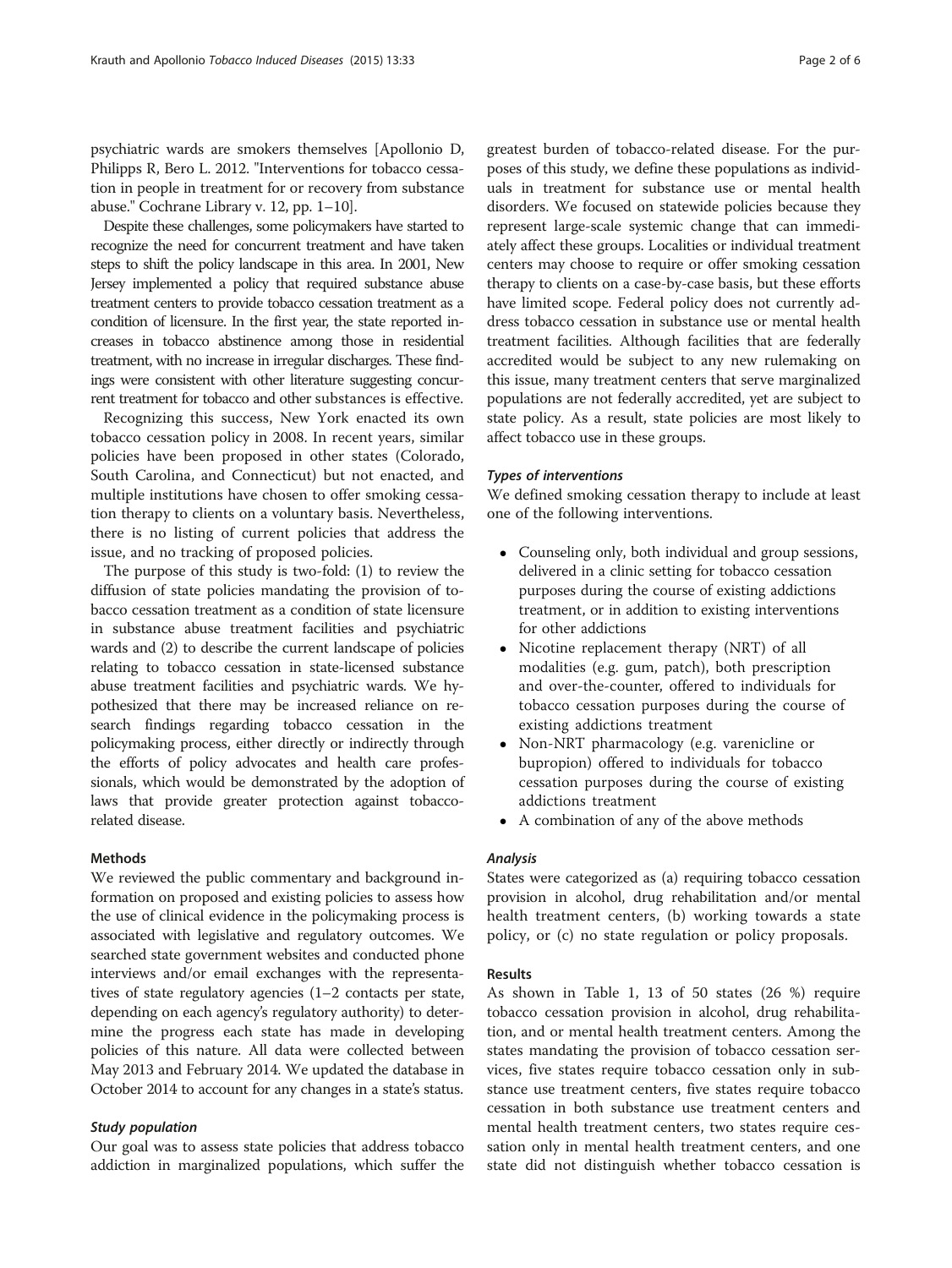psychiatric wards are smokers themselves [Apollonio D, Philipps R, Bero L. 2012. "Interventions for tobacco cessation in people in treatment for or recovery from substance abuse." Cochrane Library v. 12, pp. 1–10].

Despite these challenges, some policymakers have started to recognize the need for concurrent treatment and have taken steps to shift the policy landscape in this area. In 2001, New Jersey implemented a policy that required substance abuse treatment centers to provide tobacco cessation treatment as a condition of licensure. In the first year, the state reported increases in tobacco abstinence among those in residential treatment, with no increase in irregular discharges. These findings were consistent with other literature suggesting concurrent treatment for tobacco and other substances is effective.

Recognizing this success, New York enacted its own tobacco cessation policy in 2008. In recent years, similar policies have been proposed in other states (Colorado, South Carolina, and Connecticut) but not enacted, and multiple institutions have chosen to offer smoking cessation therapy to clients on a voluntary basis. Nevertheless, there is no listing of current policies that address the issue, and no tracking of proposed policies.

The purpose of this study is two-fold: (1) to review the diffusion of state policies mandating the provision of tobacco cessation treatment as a condition of state licensure in substance abuse treatment facilities and psychiatric wards and (2) to describe the current landscape of policies relating to tobacco cessation in state-licensed substance abuse treatment facilities and psychiatric wards. We hypothesized that there may be increased reliance on research findings regarding tobacco cessation in the policymaking process, either directly or indirectly through the efforts of policy advocates and health care professionals, which would be demonstrated by the adoption of laws that provide greater protection against tobaccorelated disease.

### Methods

We reviewed the public commentary and background information on proposed and existing policies to assess how the use of clinical evidence in the policymaking process is associated with legislative and regulatory outcomes. We searched state government websites and conducted phone interviews and/or email exchanges with the representatives of state regulatory agencies (1–2 contacts per state, depending on each agency's regulatory authority) to determine the progress each state has made in developing policies of this nature. All data were collected between May 2013 and February 2014. We updated the database in October 2014 to account for any changes in a state's status.

# Study population

Our goal was to assess state policies that address tobacco addiction in marginalized populations, which suffer the

greatest burden of tobacco-related disease. For the purposes of this study, we define these populations as individuals in treatment for substance use or mental health disorders. We focused on statewide policies because they represent large-scale systemic change that can immediately affect these groups. Localities or individual treatment centers may choose to require or offer smoking cessation therapy to clients on a case-by-case basis, but these efforts have limited scope. Federal policy does not currently address tobacco cessation in substance use or mental health treatment facilities. Although facilities that are federally accredited would be subject to any new rulemaking on this issue, many treatment centers that serve marginalized populations are not federally accredited, yet are subject to state policy. As a result, state policies are most likely to affect tobacco use in these groups.

## Types of interventions

We defined smoking cessation therapy to include at least one of the following interventions.

- Counseling only, both individual and group sessions, delivered in a clinic setting for tobacco cessation purposes during the course of existing addictions treatment, or in addition to existing interventions for other addictions
- Nicotine replacement therapy (NRT) of all modalities (e.g. gum, patch), both prescription and over-the-counter, offered to individuals for tobacco cessation purposes during the course of existing addictions treatment
- Non-NRT pharmacology (e.g. varenicline or bupropion) offered to individuals for tobacco cessation purposes during the course of existing addictions treatment
- A combination of any of the above methods

### Analysis

States were categorized as (a) requiring tobacco cessation provision in alcohol, drug rehabilitation and/or mental health treatment centers, (b) working towards a state policy, or (c) no state regulation or policy proposals.

#### Results

As shown in Table [1,](#page-2-0) 13 of 50 states (26 %) require tobacco cessation provision in alcohol, drug rehabilitation, and or mental health treatment centers. Among the states mandating the provision of tobacco cessation services, five states require tobacco cessation only in substance use treatment centers, five states require tobacco cessation in both substance use treatment centers and mental health treatment centers, two states require cessation only in mental health treatment centers, and one state did not distinguish whether tobacco cessation is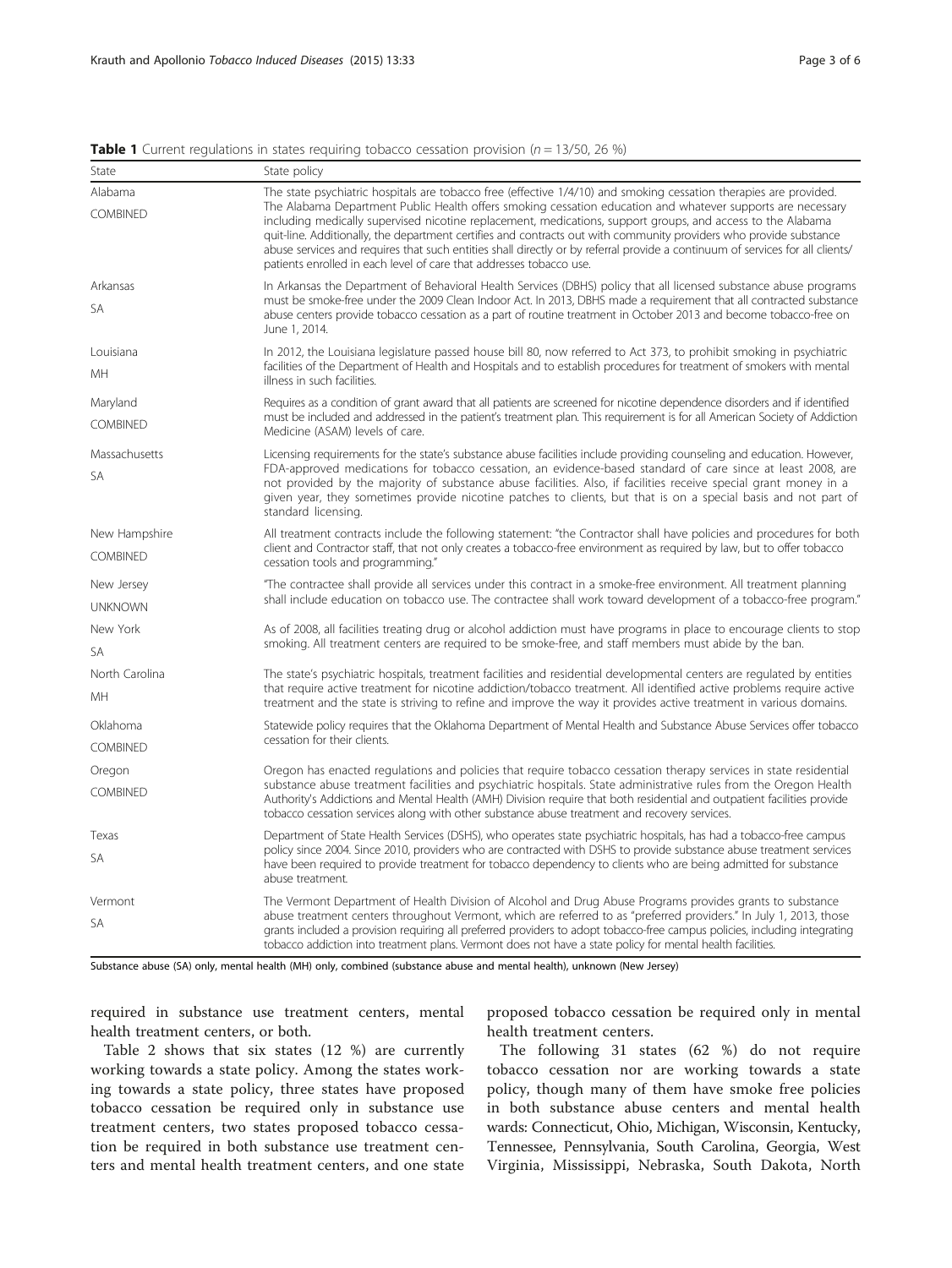| State           | State policy                                                                                                                                                                                                                                                                                                                                                                                                                                                                                                                                             |  |  |
|-----------------|----------------------------------------------------------------------------------------------------------------------------------------------------------------------------------------------------------------------------------------------------------------------------------------------------------------------------------------------------------------------------------------------------------------------------------------------------------------------------------------------------------------------------------------------------------|--|--|
| Alabama         | The state psychiatric hospitals are tobacco free (effective 1/4/10) and smoking cessation therapies are provided.                                                                                                                                                                                                                                                                                                                                                                                                                                        |  |  |
| <b>COMBINED</b> | The Alabama Department Public Health offers smoking cessation education and whatever supports are necessary<br>including medically supervised nicotine replacement, medications, support groups, and access to the Alabama<br>quit-line. Additionally, the department certifies and contracts out with community providers who provide substance<br>abuse services and requires that such entities shall directly or by referral provide a continuum of services for all clients/<br>patients enrolled in each level of care that addresses tobacco use. |  |  |
| Arkansas        | In Arkansas the Department of Behavioral Health Services (DBHS) policy that all licensed substance abuse programs                                                                                                                                                                                                                                                                                                                                                                                                                                        |  |  |
| <b>SA</b>       | must be smoke-free under the 2009 Clean Indoor Act. In 2013, DBHS made a requirement that all contracted substance<br>abuse centers provide tobacco cessation as a part of routine treatment in October 2013 and become tobacco-free on<br>June 1, 2014.                                                                                                                                                                                                                                                                                                 |  |  |
| Louisiana       | In 2012, the Louisiana legislature passed house bill 80, now referred to Act 373, to prohibit smoking in psychiatric                                                                                                                                                                                                                                                                                                                                                                                                                                     |  |  |
| МH              | facilities of the Department of Health and Hospitals and to establish procedures for treatment of smokers with mental<br>illness in such facilities.                                                                                                                                                                                                                                                                                                                                                                                                     |  |  |
| Maryland        | Requires as a condition of grant award that all patients are screened for nicotine dependence disorders and if identified                                                                                                                                                                                                                                                                                                                                                                                                                                |  |  |
| COMBINED        | must be included and addressed in the patient's treatment plan. This requirement is for all American Society of Addiction<br>Medicine (ASAM) levels of care.                                                                                                                                                                                                                                                                                                                                                                                             |  |  |
| Massachusetts   | Licensing requirements for the state's substance abuse facilities include providing counseling and education. However,                                                                                                                                                                                                                                                                                                                                                                                                                                   |  |  |
| SA              | FDA-approved medications for tobacco cessation, an evidence-based standard of care since at least 2008, are<br>not provided by the majority of substance abuse facilities. Also, if facilities receive special grant money in a<br>given year, they sometimes provide nicotine patches to clients, but that is on a special basis and not part of<br>standard licensing.                                                                                                                                                                                 |  |  |
| New Hampshire   | All treatment contracts include the following statement: "the Contractor shall have policies and procedures for both                                                                                                                                                                                                                                                                                                                                                                                                                                     |  |  |
| <b>COMBINED</b> | client and Contractor staff, that not only creates a tobacco-free environment as required by law, but to offer tobacco<br>cessation tools and programming."                                                                                                                                                                                                                                                                                                                                                                                              |  |  |
| New Jersey      | "The contractee shall provide all services under this contract in a smoke-free environment. All treatment planning                                                                                                                                                                                                                                                                                                                                                                                                                                       |  |  |
| <b>UNKNOWN</b>  | shall include education on tobacco use. The contractee shall work toward development of a tobacco-free program."                                                                                                                                                                                                                                                                                                                                                                                                                                         |  |  |
| New York        | As of 2008, all facilities treating drug or alcohol addiction must have programs in place to encourage clients to stop                                                                                                                                                                                                                                                                                                                                                                                                                                   |  |  |
| <b>SA</b>       | smoking. All treatment centers are required to be smoke-free, and staff members must abide by the ban.                                                                                                                                                                                                                                                                                                                                                                                                                                                   |  |  |
| North Carolina  | The state's psychiatric hospitals, treatment facilities and residential developmental centers are regulated by entities                                                                                                                                                                                                                                                                                                                                                                                                                                  |  |  |
| MH              | that require active treatment for nicotine addiction/tobacco treatment. All identified active problems require active<br>treatment and the state is striving to refine and improve the way it provides active treatment in various domains.                                                                                                                                                                                                                                                                                                              |  |  |
| Oklahoma        | Statewide policy requires that the Oklahoma Department of Mental Health and Substance Abuse Services offer tobacco                                                                                                                                                                                                                                                                                                                                                                                                                                       |  |  |
| COMBINED        | cessation for their clients.                                                                                                                                                                                                                                                                                                                                                                                                                                                                                                                             |  |  |
| Oregon          | Oregon has enacted regulations and policies that require tobacco cessation therapy services in state residential                                                                                                                                                                                                                                                                                                                                                                                                                                         |  |  |
| <b>COMBINED</b> | substance abuse treatment facilities and psychiatric hospitals. State administrative rules from the Oregon Health<br>Authority's Addictions and Mental Health (AMH) Division require that both residential and outpatient facilities provide<br>tobacco cessation services along with other substance abuse treatment and recovery services.                                                                                                                                                                                                             |  |  |
| Texas           | Department of State Health Services (DSHS), who operates state psychiatric hospitals, has had a tobacco-free campus                                                                                                                                                                                                                                                                                                                                                                                                                                      |  |  |
| <b>SA</b>       | policy since 2004. Since 2010, providers who are contracted with DSHS to provide substance abuse treatment services<br>have been required to provide treatment for tobacco dependency to clients who are being admitted for substance<br>abuse treatment.                                                                                                                                                                                                                                                                                                |  |  |
| Vermont         | The Vermont Department of Health Division of Alcohol and Drug Abuse Programs provides grants to substance                                                                                                                                                                                                                                                                                                                                                                                                                                                |  |  |
| SA              | abuse treatment centers throughout Vermont, which are referred to as "preferred providers." In July 1, 2013, those<br>grants included a provision requiring all preferred providers to adopt tobacco-free campus policies, including integrating<br>tobacco addiction into treatment plans. Vermont does not have a state policy for mental health facilities.                                                                                                                                                                                           |  |  |

<span id="page-2-0"></span>**Table 1** Current regulations in states requiring tobacco cessation provision ( $n = 13/50$ , 26 %)

Substance abuse (SA) only, mental health (MH) only, combined (substance abuse and mental health), unknown (New Jersey)

required in substance use treatment centers, mental health treatment centers, or both.

Table [2](#page-3-0) shows that six states (12 %) are currently working towards a state policy. Among the states working towards a state policy, three states have proposed tobacco cessation be required only in substance use treatment centers, two states proposed tobacco cessation be required in both substance use treatment centers and mental health treatment centers, and one state

proposed tobacco cessation be required only in mental health treatment centers.

The following 31 states (62 %) do not require tobacco cessation nor are working towards a state policy, though many of them have smoke free policies in both substance abuse centers and mental health wards: Connecticut, Ohio, Michigan, Wisconsin, Kentucky, Tennessee, Pennsylvania, South Carolina, Georgia, West Virginia, Mississippi, Nebraska, South Dakota, North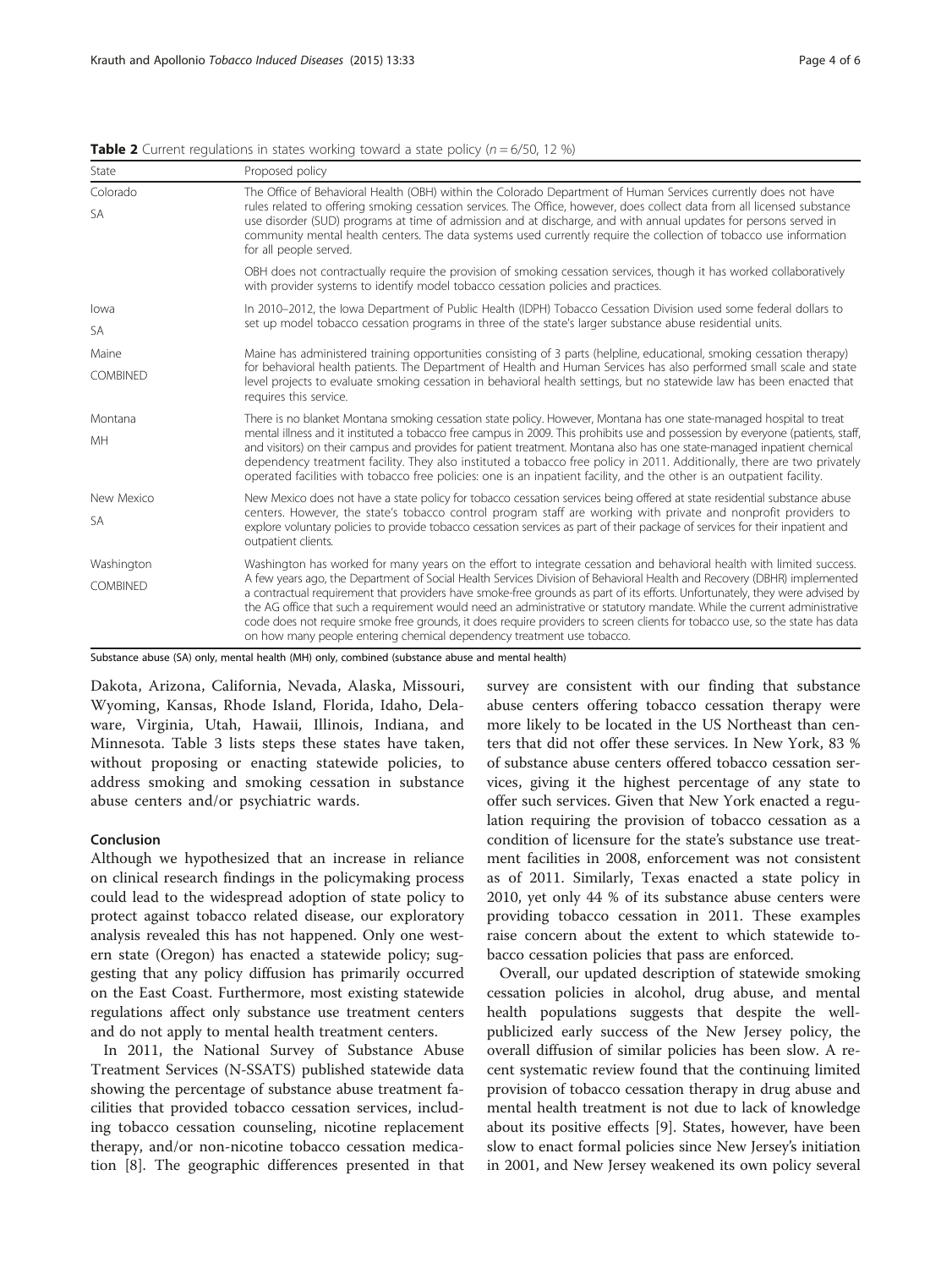| State           | Proposed policy                                                                                                                                                                                                                                                                                                                                                                                                                                                                                                                                                                                |  |  |
|-----------------|------------------------------------------------------------------------------------------------------------------------------------------------------------------------------------------------------------------------------------------------------------------------------------------------------------------------------------------------------------------------------------------------------------------------------------------------------------------------------------------------------------------------------------------------------------------------------------------------|--|--|
| Colorado        | The Office of Behavioral Health (OBH) within the Colorado Department of Human Services currently does not have<br>rules related to offering smoking cessation services. The Office, however, does collect data from all licensed substance<br>use disorder (SUD) programs at time of admission and at discharge, and with annual updates for persons served in<br>community mental health centers. The data systems used currently require the collection of tobacco use information<br>for all people served.                                                                                 |  |  |
| <b>SA</b>       |                                                                                                                                                                                                                                                                                                                                                                                                                                                                                                                                                                                                |  |  |
|                 | OBH does not contractually require the provision of smoking cessation services, though it has worked collaboratively<br>with provider systems to identify model tobacco cessation policies and practices.                                                                                                                                                                                                                                                                                                                                                                                      |  |  |
| lowa            | In 2010-2012, the lowa Department of Public Health (IDPH) Tobacco Cessation Division used some federal dollars to                                                                                                                                                                                                                                                                                                                                                                                                                                                                              |  |  |
| <b>SA</b>       | set up model tobacco cessation programs in three of the state's larger substance abuse residential units.                                                                                                                                                                                                                                                                                                                                                                                                                                                                                      |  |  |
| Maine           | Maine has administered training opportunities consisting of 3 parts (helpline, educational, smoking cessation therapy)                                                                                                                                                                                                                                                                                                                                                                                                                                                                         |  |  |
| <b>COMBINED</b> | for behavioral health patients. The Department of Health and Human Services has also performed small scale and state<br>level projects to evaluate smoking cessation in behavioral health settings, but no statewide law has been enacted that<br>requires this service.                                                                                                                                                                                                                                                                                                                       |  |  |
| Montana         | There is no blanket Montana smoking cessation state policy. However, Montana has one state-managed hospital to treat                                                                                                                                                                                                                                                                                                                                                                                                                                                                           |  |  |
| MH              | mental illness and it instituted a tobacco free campus in 2009. This prohibits use and possession by everyone (patients, staff,<br>and visitors) on their campus and provides for patient treatment. Montana also has one state-managed inpatient chemical<br>dependency treatment facility. They also instituted a tobacco free policy in 2011. Additionally, there are two privately<br>operated facilities with tobacco free policies: one is an inpatient facility, and the other is an outpatient facility.                                                                               |  |  |
| New Mexico      | New Mexico does not have a state policy for tobacco cessation services being offered at state residential substance abuse                                                                                                                                                                                                                                                                                                                                                                                                                                                                      |  |  |
| <b>SA</b>       | centers. However, the state's tobacco control program staff are working with private and nonprofit providers to<br>explore voluntary policies to provide tobacco cessation services as part of their package of services for their inpatient and<br>outpatient clients.                                                                                                                                                                                                                                                                                                                        |  |  |
| Washington      | Washington has worked for many years on the effort to integrate cessation and behavioral health with limited success.                                                                                                                                                                                                                                                                                                                                                                                                                                                                          |  |  |
| <b>COMBINED</b> | A few years ago, the Department of Social Health Services Division of Behavioral Health and Recovery (DBHR) implemented<br>a contractual requirement that providers have smoke-free grounds as part of its efforts. Unfortunately, they were advised by<br>the AG office that such a requirement would need an administrative or statutory mandate. While the current administrative<br>code does not require smoke free grounds, it does require providers to screen clients for tobacco use, so the state has data<br>on how many people entering chemical dependency treatment use tobacco. |  |  |

<span id="page-3-0"></span>**Table 2** Current regulations in states working toward a state policy ( $n = 6/50$ , 12 %)

Substance abuse (SA) only, mental health (MH) only, combined (substance abuse and mental health)

Dakota, Arizona, California, Nevada, Alaska, Missouri, Wyoming, Kansas, Rhode Island, Florida, Idaho, Delaware, Virginia, Utah, Hawaii, Illinois, Indiana, and Minnesota. Table [3](#page-4-0) lists steps these states have taken, without proposing or enacting statewide policies, to address smoking and smoking cessation in substance abuse centers and/or psychiatric wards.

### Conclusion

Although we hypothesized that an increase in reliance on clinical research findings in the policymaking process could lead to the widespread adoption of state policy to protect against tobacco related disease, our exploratory analysis revealed this has not happened. Only one western state (Oregon) has enacted a statewide policy; suggesting that any policy diffusion has primarily occurred on the East Coast. Furthermore, most existing statewide regulations affect only substance use treatment centers and do not apply to mental health treatment centers.

In 2011, the National Survey of Substance Abuse Treatment Services (N-SSATS) published statewide data showing the percentage of substance abuse treatment facilities that provided tobacco cessation services, including tobacco cessation counseling, nicotine replacement therapy, and/or non-nicotine tobacco cessation medication [\[8](#page-5-0)]. The geographic differences presented in that

survey are consistent with our finding that substance abuse centers offering tobacco cessation therapy were more likely to be located in the US Northeast than centers that did not offer these services. In New York, 83 % of substance abuse centers offered tobacco cessation services, giving it the highest percentage of any state to offer such services. Given that New York enacted a regulation requiring the provision of tobacco cessation as a condition of licensure for the state's substance use treatment facilities in 2008, enforcement was not consistent as of 2011. Similarly, Texas enacted a state policy in 2010, yet only 44 % of its substance abuse centers were providing tobacco cessation in 2011. These examples raise concern about the extent to which statewide tobacco cessation policies that pass are enforced.

Overall, our updated description of statewide smoking cessation policies in alcohol, drug abuse, and mental health populations suggests that despite the wellpublicized early success of the New Jersey policy, the overall diffusion of similar policies has been slow. A recent systematic review found that the continuing limited provision of tobacco cessation therapy in drug abuse and mental health treatment is not due to lack of knowledge about its positive effects [\[9](#page-5-0)]. States, however, have been slow to enact formal policies since New Jersey's initiation in 2001, and New Jersey weakened its own policy several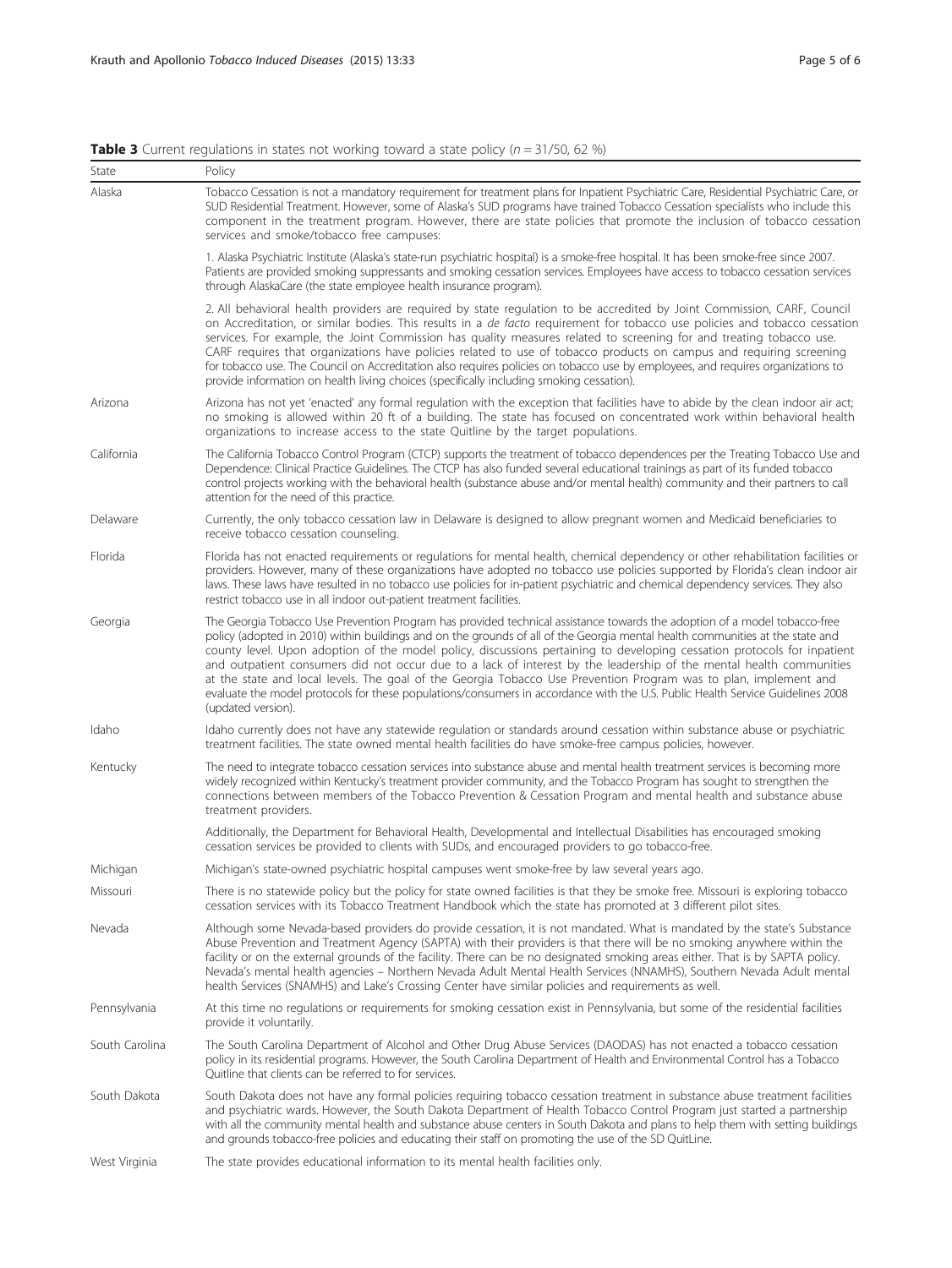<span id="page-4-0"></span>

|  |  |  |  | <b>Table 3</b> Current regulations in states not working toward a state policy ( $n = 31/50$ , 62 %) |  |
|--|--|--|--|------------------------------------------------------------------------------------------------------|--|
|--|--|--|--|------------------------------------------------------------------------------------------------------|--|

| State          | Policy                                                                                                                                                                                                                                                                                                                                                                                                                                                                                                                                                                                                                                                                                                                                                                                   |  |
|----------------|------------------------------------------------------------------------------------------------------------------------------------------------------------------------------------------------------------------------------------------------------------------------------------------------------------------------------------------------------------------------------------------------------------------------------------------------------------------------------------------------------------------------------------------------------------------------------------------------------------------------------------------------------------------------------------------------------------------------------------------------------------------------------------------|--|
| Alaska         | Tobacco Cessation is not a mandatory requirement for treatment plans for Inpatient Psychiatric Care, Residential Psychiatric Care, or<br>SUD Residential Treatment. However, some of Alaska's SUD programs have trained Tobacco Cessation specialists who include this<br>component in the treatment program. However, there are state policies that promote the inclusion of tobacco cessation<br>services and smoke/tobacco free campuses:                                                                                                                                                                                                                                                                                                                                             |  |
|                | 1. Alaska Psychiatric Institute (Alaska's state-run psychiatric hospital) is a smoke-free hospital. It has been smoke-free since 2007.<br>Patients are provided smoking suppressants and smoking cessation services. Employees have access to tobacco cessation services<br>through AlaskaCare (the state employee health insurance program).                                                                                                                                                                                                                                                                                                                                                                                                                                            |  |
|                | 2. All behavioral health providers are required by state regulation to be accredited by Joint Commission, CARF, Council<br>on Accreditation, or similar bodies. This results in a <i>de facto</i> requirement for tobacco use policies and tobacco cessation<br>services. For example, the Joint Commission has quality measures related to screening for and treating tobacco use.<br>CARF requires that organizations have policies related to use of tobacco products on campus and requiring screening<br>for tobacco use. The Council on Accreditation also requires policies on tobacco use by employees, and requires organizations to<br>provide information on health living choices (specifically including smoking cessation).                                                |  |
| Arizona        | Arizona has not yet 'enacted' any formal regulation with the exception that facilities have to abide by the clean indoor air act;<br>no smoking is allowed within 20 ft of a building. The state has focused on concentrated work within behavioral health<br>organizations to increase access to the state Quitline by the target populations.                                                                                                                                                                                                                                                                                                                                                                                                                                          |  |
| California     | The California Tobacco Control Program (CTCP) supports the treatment of tobacco dependences per the Treating Tobacco Use and<br>Dependence: Clinical Practice Guidelines. The CTCP has also funded several educational trainings as part of its funded tobacco<br>control projects working with the behavioral health (substance abuse and/or mental health) community and their partners to call<br>attention for the need of this practice.                                                                                                                                                                                                                                                                                                                                            |  |
| Delaware       | Currently, the only tobacco cessation law in Delaware is designed to allow pregnant women and Medicaid beneficiaries to<br>receive tobacco cessation counseling.                                                                                                                                                                                                                                                                                                                                                                                                                                                                                                                                                                                                                         |  |
| Florida        | Florida has not enacted requirements or regulations for mental health, chemical dependency or other rehabilitation facilities or<br>providers. However, many of these organizations have adopted no tobacco use policies supported by Florida's clean indoor air<br>laws. These laws have resulted in no tobacco use policies for in-patient psychiatric and chemical dependency services. They also<br>restrict tobacco use in all indoor out-patient treatment facilities.                                                                                                                                                                                                                                                                                                             |  |
| Georgia        | The Georgia Tobacco Use Prevention Program has provided technical assistance towards the adoption of a model tobacco-free<br>policy (adopted in 2010) within buildings and on the grounds of all of the Georgia mental health communities at the state and<br>county level. Upon adoption of the model policy, discussions pertaining to developing cessation protocols for inpatient<br>and outpatient consumers did not occur due to a lack of interest by the leadership of the mental health communities<br>at the state and local levels. The goal of the Georgia Tobacco Use Prevention Program was to plan, implement and<br>evaluate the model protocols for these populations/consumers in accordance with the U.S. Public Health Service Guidelines 2008<br>(updated version). |  |
| Idaho          | Idaho currently does not have any statewide regulation or standards around cessation within substance abuse or psychiatric<br>treatment facilities. The state owned mental health facilities do have smoke-free campus policies, however.                                                                                                                                                                                                                                                                                                                                                                                                                                                                                                                                                |  |
| Kentucky       | The need to integrate tobacco cessation services into substance abuse and mental health treatment services is becoming more<br>widely recognized within Kentucky's treatment provider community, and the Tobacco Program has sought to strengthen the<br>connections between members of the Tobacco Prevention & Cessation Program and mental health and substance abuse<br>treatment providers.                                                                                                                                                                                                                                                                                                                                                                                         |  |
|                | Additionally, the Department for Behavioral Health, Developmental and Intellectual Disabilities has encouraged smoking<br>cessation services be provided to clients with SUDs, and encouraged providers to go tobacco-free.                                                                                                                                                                                                                                                                                                                                                                                                                                                                                                                                                              |  |
| Michigan       | Michigan's state-owned psychiatric hospital campuses went smoke-free by law several years ago.                                                                                                                                                                                                                                                                                                                                                                                                                                                                                                                                                                                                                                                                                           |  |
| Missouri       | There is no statewide policy but the policy for state owned facilities is that they be smoke free. Missouri is exploring tobacco<br>cessation services with its Tobacco Treatment Handbook which the state has promoted at 3 different pilot sites.                                                                                                                                                                                                                                                                                                                                                                                                                                                                                                                                      |  |
| Nevada         | Although some Nevada-based providers do provide cessation, it is not mandated. What is mandated by the state's Substance<br>Abuse Prevention and Treatment Agency (SAPTA) with their providers is that there will be no smoking anywhere within the<br>facility or on the external grounds of the facility. There can be no designated smoking areas either. That is by SAPTA policy.<br>Nevada's mental health agencies - Northern Nevada Adult Mental Health Services (NNAMHS), Southern Nevada Adult mental<br>health Services (SNAMHS) and Lake's Crossing Center have similar policies and requirements as well.                                                                                                                                                                    |  |
| Pennsylvania   | At this time no regulations or requirements for smoking cessation exist in Pennsylvania, but some of the residential facilities<br>provide it voluntarily.                                                                                                                                                                                                                                                                                                                                                                                                                                                                                                                                                                                                                               |  |
| South Carolina | The South Carolina Department of Alcohol and Other Drug Abuse Services (DAODAS) has not enacted a tobacco cessation<br>policy in its residential programs. However, the South Carolina Department of Health and Environmental Control has a Tobacco<br>Ouitline that clients can be referred to for services.                                                                                                                                                                                                                                                                                                                                                                                                                                                                            |  |
| South Dakota   | South Dakota does not have any formal policies requiring tobacco cessation treatment in substance abuse treatment facilities<br>and psychiatric wards. However, the South Dakota Department of Health Tobacco Control Program just started a partnership<br>with all the community mental health and substance abuse centers in South Dakota and plans to help them with setting buildings<br>and grounds tobacco-free policies and educating their staff on promoting the use of the SD QuitLine.                                                                                                                                                                                                                                                                                       |  |
| West Virginia  | The state provides educational information to its mental health facilities only.                                                                                                                                                                                                                                                                                                                                                                                                                                                                                                                                                                                                                                                                                                         |  |